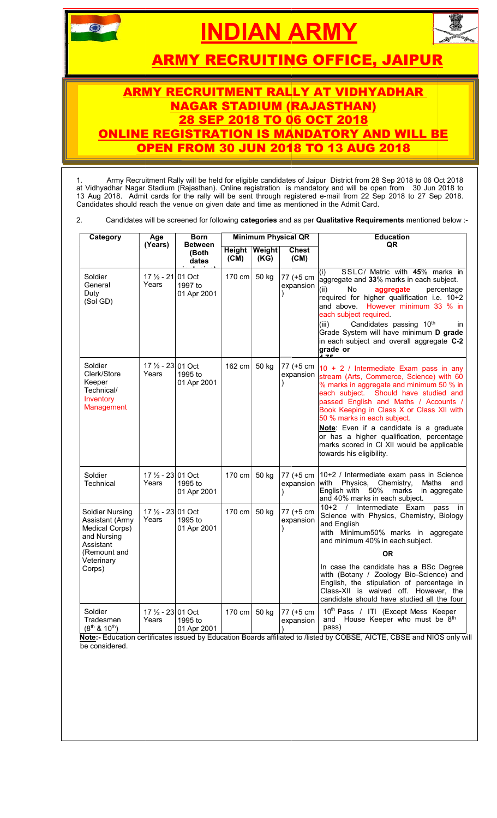

# INDIAN A ARMY



<u>ARMY RECRUITING OFFICE, JAIPUR</u>

#### <u>ARMY RECRUITMENT RALLY AT VIDHYADHAR </u> ONLINE OP <u>NAGAR STADIUM (RAJASTHAN)</u> 'O 06 OCT E REGISTRATION IS MAND OPEN FROM 30 JUN 2018 2018 DATORY AND WILL BE <u>18 TO 13 AUG 2018</u>

| 2.                                                                                                                              | <b>ARMY RECRUITING OFFICE, JAIPUR</b><br><b>ARMY RECRUITMENT RALLY AT VIDHYADHAR</b><br><b>NAGAR STADIUM (RAJASTHAN)</b><br>28 SEP 2018 TO 06 OCT 2018<br><b>ONLINE REGISTRATION IS MANDATORY AND WILL BE</b><br><b>OPEN FROM 30 JUN 2018 TO 13 AUG 2018</b><br>Army Recruitment Rally will be held for eligible candidates of Jaipur District from 28 Sep 2018 to 06 Oct 2018<br>at Vidhyadhar Nagar Stadium (Rajasthan). Online registration is mandatory and will be open from 30 Jun 2018 to<br>13 Aug 2018. Admit cards for the rally will be sent through registered e-mail from 22 Sep 2018 to 27 Sep 2018.<br>Candidates should reach the venue on given date and time as mentioned in the Admit Card.<br>Candidates will be screened for following categories and as per Qualitative Requirements mentioned below :- |                                                           |                            |                        |                                                          |                                                                                                                                                                                                                                                                                                                                                                                                                                                                                                                   |
|---------------------------------------------------------------------------------------------------------------------------------|-------------------------------------------------------------------------------------------------------------------------------------------------------------------------------------------------------------------------------------------------------------------------------------------------------------------------------------------------------------------------------------------------------------------------------------------------------------------------------------------------------------------------------------------------------------------------------------------------------------------------------------------------------------------------------------------------------------------------------------------------------------------------------------------------------------------------------|-----------------------------------------------------------|----------------------------|------------------------|----------------------------------------------------------|-------------------------------------------------------------------------------------------------------------------------------------------------------------------------------------------------------------------------------------------------------------------------------------------------------------------------------------------------------------------------------------------------------------------------------------------------------------------------------------------------------------------|
| Category                                                                                                                        | Age<br>(Years)                                                                                                                                                                                                                                                                                                                                                                                                                                                                                                                                                                                                                                                                                                                                                                                                                | <b>Born</b><br><b>Between</b><br>(Both                    |                            | Height Weight          | <b>Minimum Physical QR</b><br><b>Chest</b>               | <b>Education</b><br>QR                                                                                                                                                                                                                                                                                                                                                                                                                                                                                            |
| Soldier<br>General<br>Duty<br>(Sol GD)<br>Soldier<br>Clerk/Store<br>Keeper                                                      | 17 $\frac{1}{2}$ - 21 01 Oct<br>Years<br>17 $\frac{1}{2}$ - 23 01 Oct<br>Years                                                                                                                                                                                                                                                                                                                                                                                                                                                                                                                                                                                                                                                                                                                                                | dates<br>1997 to<br>01 Apr 2001<br>1995 to<br>01 Apr 2001 | (CM)<br>$170$ cm<br>162 cm | (KG)<br>50 kg<br>50 kg | (CM)<br>77 (+5 cm<br>expansion<br>77 (+5 cm<br>expansion | SSLC/ Matric with 45% marks in<br>aggregate and 33% marks in each subject.<br>(ii)<br>No<br>aggregate<br>percentage<br>required for higher qualification i.e. 10+2<br>and above. However minimum 33 % in<br>each subject required.<br>Candidates passing 10th<br>(iii)<br>ın<br>Grade System will have minimum D grade<br>in each subject and overall aggregate C-2<br>grade or<br>10 + 2 / Intermediate Exam pass in any<br>stream (Arts, Commerce, Science) with 60<br>% marks in aggregate and minimum 50 % in |
| Technical/<br>Inventory<br>Management<br>Soldier                                                                                | $17\frac{1}{2}$ - 23 01 Oct                                                                                                                                                                                                                                                                                                                                                                                                                                                                                                                                                                                                                                                                                                                                                                                                   |                                                           | 170 cm                     | 50 kg                  | 77 (+5 cm                                                | each subject. Should have studied and<br>passed English and Maths / Accounts /<br>Book Keeping in Class X or Class XII with<br>50 % marks in each subject.<br>Note: Even if a candidate is a graduate<br>or has a higher qualification, percentage<br>marks scored in CI XII would be applicable<br>towards his eligibility.<br>10+2 / Intermediate exam pass in Science                                                                                                                                          |
| Technical                                                                                                                       | Years                                                                                                                                                                                                                                                                                                                                                                                                                                                                                                                                                                                                                                                                                                                                                                                                                         | 1995 to<br>01 Apr 2001                                    |                            |                        |                                                          | expansion with Physics, Chemistry,<br>Maths and<br>English with 50% marks in aggregate<br>and 40% marks in each subject.                                                                                                                                                                                                                                                                                                                                                                                          |
| <b>Soldier Nursing</b><br>Assistant (Army<br>Medical Corps)<br>and Nursing<br>Assistant<br>(Remount and<br>Veterinary<br>Corps) | $17\frac{1}{2}$ - 23 01 Oct<br>Years                                                                                                                                                                                                                                                                                                                                                                                                                                                                                                                                                                                                                                                                                                                                                                                          | 1995 to<br>01 Apr 2001                                    | $170 \text{ cm}$           | 50 kg                  | 77 (+5 cm<br>expansion                                   | Intermediate Exam<br>$10+2$ /<br>pass in<br>Science with Physics, Chemistry, Biology<br>and English<br>with Minimum50% marks in aggregate<br>and minimum 40% in each subject.<br><b>OR</b><br>In case the candidate has a BSc Degree<br>with (Botany / Zoology Bio-Science) and<br>English, the stipulation of percentage in<br>Class-XII is waived off. However, the<br>candidate should have studied all the four                                                                                               |
| Soldier<br>Tradesmen<br>$(8^{th}$ & $10^{th})$                                                                                  | $17\frac{1}{2}$ - 23 01 Oct<br>Years                                                                                                                                                                                                                                                                                                                                                                                                                                                                                                                                                                                                                                                                                                                                                                                          | 1995 to<br>01 Apr 2001                                    | 170 cm                     | 50 kg                  | 77 (+5 cm<br>expansion                                   | 10 <sup>th</sup> Pass / ITI (Except Mess Keeper<br>House Keeper who must be 8th<br>and<br>pass)<br>Note:- Education certificates issued by Education Boards affiliated to /listed by COBSE, AICTE, CBSE and NIOS only will                                                                                                                                                                                                                                                                                        |

Note:- Education certificates issued by Education Boards affiliated to /listed by COBSE, AICTE, CBSE and NIOS only will be considered.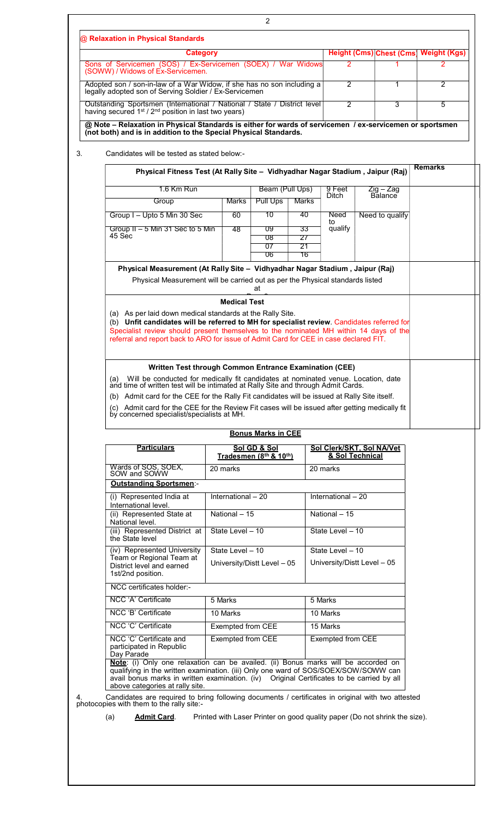| <b>Category</b><br>Sons of Servicemen (SOS) / Ex-Servicemen (SOEX) / War Widows                                                                                                                                                                                                                           |                                        |                           |                      | 2                                            | <b>Height (Cms) Chest (Cms)</b> | <b>Weight (Kgs)</b><br>2 |
|-----------------------------------------------------------------------------------------------------------------------------------------------------------------------------------------------------------------------------------------------------------------------------------------------------------|----------------------------------------|---------------------------|----------------------|----------------------------------------------|---------------------------------|--------------------------|
| (SOWW) / Widows of Ex-Servicemen.                                                                                                                                                                                                                                                                         |                                        |                           |                      |                                              |                                 |                          |
| Adopted son / son-in-law of a War Widow, if she has no son including a<br>legally adopted son of Serving Soldier / Ex-Servicemen                                                                                                                                                                          |                                        |                           |                      | $\overline{2}$                               | 1                               | $\overline{2}$           |
| Outstanding Sportsmen (International / National / State / District level<br>having secured 1 <sup>st</sup> / 2 <sup>nd</sup> position in last two years)                                                                                                                                                  |                                        |                           |                      | $\overline{2}$                               | 3                               | 5                        |
| @ Note - Relaxation in Physical Standards is either for wards of servicemen / ex-servicemen or sportsmen<br>(not both) and is in addition to the Special Physical Standards.                                                                                                                              |                                        |                           |                      |                                              |                                 |                          |
| Candidates will be tested as stated below:-                                                                                                                                                                                                                                                               |                                        |                           |                      |                                              |                                 |                          |
| Physical Fitness Test (At Rally Site - Vidhyadhar Nagar Stadium, Jaipur (Raj)                                                                                                                                                                                                                             |                                        |                           |                      |                                              |                                 | <b>Remarks</b>           |
| 1.6 Km Run                                                                                                                                                                                                                                                                                                |                                        | Beam (Pull Ups)           |                      | 9 Feet<br>Ditch                              | Zig – Zag<br><b>Balance</b>     |                          |
| Group                                                                                                                                                                                                                                                                                                     | <b>Marks</b>                           | <b>Pull Ups</b>           | Marks                |                                              |                                 |                          |
| Group I - Upto 5 Min 30 Sec                                                                                                                                                                                                                                                                               | 60                                     | 10                        | 40                   | Need<br>to                                   | Need to qualify                 |                          |
| Group II - 5 Min 31 Sec to 5 Min<br>45 Sec                                                                                                                                                                                                                                                                | 48                                     | 09<br>08<br>07<br>06      | 33<br>27<br>21<br>16 | qualify                                      |                                 |                          |
| Physical Measurement (At Rally Site - Vidhyadhar Nagar Stadium, Jaipur (Raj)                                                                                                                                                                                                                              |                                        |                           |                      |                                              |                                 |                          |
| Physical Measurement will be carried out as per the Physical standards listed                                                                                                                                                                                                                             |                                        | at                        |                      |                                              |                                 |                          |
|                                                                                                                                                                                                                                                                                                           | <b>Medical Test</b>                    |                           |                      |                                              |                                 |                          |
| (a) As per laid down medical standards at the Rally Site.                                                                                                                                                                                                                                                 |                                        |                           |                      |                                              |                                 |                          |
| (b) Unfit candidates will be referred to MH for specialist review. Candidates referred for                                                                                                                                                                                                                |                                        |                           |                      |                                              |                                 |                          |
| Specialist review should present themselves to the nominated MH within 14 days of the<br>referral and report back to ARO for issue of Admit Card for CEE in case declared FIT.                                                                                                                            |                                        |                           |                      |                                              |                                 |                          |
|                                                                                                                                                                                                                                                                                                           |                                        |                           |                      |                                              |                                 |                          |
|                                                                                                                                                                                                                                                                                                           |                                        |                           |                      |                                              |                                 |                          |
|                                                                                                                                                                                                                                                                                                           |                                        |                           |                      |                                              |                                 |                          |
| Written Test through Common Entrance Examination (CEE)<br>(a)                                                                                                                                                                                                                                             |                                        |                           |                      |                                              |                                 |                          |
| Will be conducted for medically fit candidates at nominated venue. Location, date<br>and time of written test will be intimated at Rally Site and through Admit Cards.                                                                                                                                    |                                        |                           |                      |                                              |                                 |                          |
| (b) Admit card for the CEE for the Rally Fit candidates will be issued at Rally Site itself.                                                                                                                                                                                                              |                                        |                           |                      |                                              |                                 |                          |
| Admit card for the CEE for the Review Fit cases will be issued after getting medically fit<br>(c)<br>by concerned specialist/specialists at MH.                                                                                                                                                           |                                        |                           |                      |                                              |                                 |                          |
|                                                                                                                                                                                                                                                                                                           |                                        |                           |                      |                                              |                                 |                          |
|                                                                                                                                                                                                                                                                                                           |                                        | <b>Bonus Marks in CEE</b> |                      |                                              |                                 |                          |
| <b>Particulars</b>                                                                                                                                                                                                                                                                                        | Sol GD & Sol<br>Tradesmen (8th & 10th) |                           |                      | Sol Clerk/SKT, Sol NA/Vet<br>& Sol Technical |                                 |                          |
| Wards of SOS, SOEX, SOW and SOWW                                                                                                                                                                                                                                                                          | 20 marks                               |                           |                      | 20 marks                                     |                                 |                          |
| <b>Outstanding Sportsmen-</b>                                                                                                                                                                                                                                                                             |                                        |                           |                      |                                              |                                 |                          |
| (i) Represented India at<br>International level.                                                                                                                                                                                                                                                          | International - 20                     |                           |                      | International - 20                           |                                 |                          |
| (ii) Represented State at<br>National level.                                                                                                                                                                                                                                                              | National - 15                          |                           |                      | National - 15                                |                                 |                          |
| (iii) Represented District at<br>the State level                                                                                                                                                                                                                                                          | State Level - 10                       |                           |                      | State Level - 10                             |                                 |                          |
| (iv) Represented University                                                                                                                                                                                                                                                                               | State Level - 10                       |                           |                      | State Level - 10                             |                                 |                          |
| Team or Regional Team at<br>District level and earned<br>1st/2nd position.                                                                                                                                                                                                                                | University/Distt Level - 05            |                           |                      | University/Distt Level - 05                  |                                 |                          |
| NCC certificates holder:-                                                                                                                                                                                                                                                                                 |                                        |                           |                      |                                              |                                 |                          |
| NCC 'A' Certificate                                                                                                                                                                                                                                                                                       | 5 Marks                                |                           |                      | 5 Marks                                      |                                 |                          |
| NCC 'B' Certificate                                                                                                                                                                                                                                                                                       | 10 Marks                               |                           |                      | 10 Marks                                     |                                 |                          |
| NCC 'C' Certificate                                                                                                                                                                                                                                                                                       | Exempted from CEE                      |                           |                      | 15 Marks                                     |                                 |                          |
| NCC 'C' Certificate and<br>participated in Republic<br>Day Parade                                                                                                                                                                                                                                         | Exempted from CEE                      |                           |                      | Exempted from CEE                            |                                 |                          |
| Note: (i) Only one relaxation can be availed. (ii) Bonus marks will be accorded on<br>qualifying in the written examination. (iii) Only one ward of SOS/SOEX/SOW/SOWW can<br>avail bonus marks in written examination. (iv) Original Certificates to be carried by all<br>above categories at rally site. |                                        |                           |                      |                                              |                                 |                          |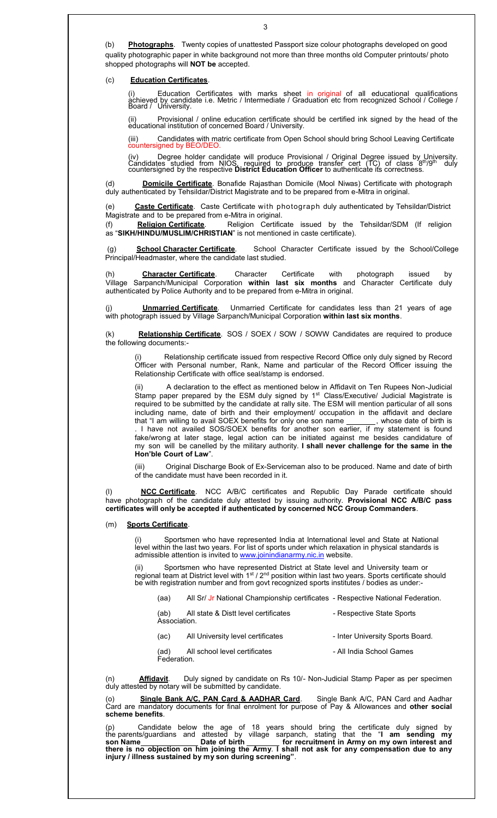(b) Photographs. Twenty copies of unattested Passport size colour photographs developed on good quality photographic paper in white background not more than three months old Computer printouts/ photo shopped photographs will **NOT be** accepted.

## (c) Education Certificates.

 (i) Education Certificates with marks sheet in original of all educational qualifications àćhieved by candidate i.e. Metric / Intermediate / Graduation etc from recognized School / College /<br>Board / University.

 (ii) Provisional / online education certificate should be certified ink signed by the head of the educational institution of concerned Board / University.

Candidates with matric certificate from Open School should bring School Leaving Certificate countersigned by BEO/DEO.

(iv) Degree holder candidate will produce Provisional / Original Degree issued by University.<br>Candidates studied from NIOS, required to produce transfer cert (TC) of class 8<sup>th</sup>/9<sup>th</sup> duly<br>countersigned by the respective

(d) **Domicile Certificate**. Bonafide Rajasthan Domicile (Mool Niwas) Certificate with photograph duly authenticated by Tehsildar/District Magistrate and to be prepared from e-Mitra in original.

(e) Caste Certificate. Caste Certificate with photograph duly authenticated by Tehsildar/District Magistrate and to be prepared from e-Mitra in original.<br>(f) **Religion Certificate** Religion Certifica

(f) Religion Certificate. Religion Certificate issued by the Tehsildar/SDM (If religion as "SIKH/HINDU/MUSLIM/CHRISTIAN" is not mentioned in caste certificate).

(g) School Character Certificate. School Character Certificate issued by the School/College Principal/Headmaster, where the candidate last studied.

Character Certificate. Character Certificate with photograph issued by Village Sarpanch/Municipal Corporation within last six months and Character Certificate duly authenticated by Police Authority and to be prepared from e-Mitra in original.

Unmarried Certificate. Unmarried Certificate for candidates less than 21 years of age with photograph issued by Village Sarpanch/Municipal Corporation within last six months.

(k) Relationship Certificate. SOS / SOEX / SOW / SOWW Candidates are required to produce the following documents:-

Relationship certificate issued from respective Record Office only duly signed by Record Officer with Personal number, Rank, Name and particular of the Record Officer issuing the Relationship Certificate with office seal/stamp is endorsed.

A declaration to the effect as mentioned below in Affidavit on Ten Rupees Non-Judicial Stamp paper prepared by the ESM duly signed by 1<sup>st</sup> Class/Executive/ Judicial Magistrate is required to be submitted by the candidate at rally site. The ESM will mention particular of all sons including name, date of birth and their employment/ occupation in the affidavit and declare that "I am willing to avail SOEX benefits for only one son name \_\_\_\_\_\_\_, whose date of birth is . I have not availed SOS/SOEX benefits for another son earlier, if my statement is found fake/wrong at later stage, legal action can be initiated against me besides candidature of my son will be canelled by the military authority. I shall never challenge for the same in the Hon'ble Court of Law".

(iii) Original Discharge Book of Ex-Serviceman also to be produced. Name and date of birth of the candidate must have been recorded in it.

(I) **NCC Certificate**. NCC A/B/C certificates and Republic Day Parade certificate should have photograph of the candidate duly attested by issuing authority. Provisional NCC A/B/C pass certificates will only be accepted if authenticated by concerned NCC Group Commanders.

### (m) Sports Certificate.

Sportsmen who have represented India at International level and State at National level within the last two years. For list of sports under which relaxation in physical standards is admissible attention is invited to **www.joinindianarmy.nic.in** website.

Sportsmen who have represented District at State level and University team or regional team at District level with 1st / 2<sup>nd</sup> position within last two years. Sports certificate should be with registration number and from govt recognized sports institutes / bodies as under:-

(aa) All Sr/ Jr National Championship certificates - Respective National Federation.

| (ab)<br>Association. | All state & Distt level certificates | - Respective State Sports       |
|----------------------|--------------------------------------|---------------------------------|
| (۵۴)                 | All Hniversity level certificates    | - Inter Hniversity Sports Board |

| (ac)                | All University level centilicates | - Illiel Ulliversity oports Doard |
|---------------------|-----------------------------------|-----------------------------------|
| (ad)<br>Federation. | All school level certificates     | - All India School Games          |
|                     |                                   |                                   |

Affidavit. Duly signed by candidate on Rs 10/- Non-Judicial Stamp Paper as per specimen duly attested by notary will be submitted by candidate.

(o) Single Bank A/C, PAN Card & AADHAR Card. Single Bank A/C, PAN Card and Aadhar Card are mandatory documents for final enrolment for purpose of Pay & Allowances and other social scheme benefits.

(p) Candidate below the age of 18 years should bring the certificate duly signed by the parents/guardians and attested by village sarpanch, stating that the "I am sending my son Name \_\_\_\_\_\_\_\_\_\_\_\_\_\_\_ Date of birth \_\_\_\_\_\_\_\_\_ for recruitment in Army on my own interest and there is no objection on him joining the Army. I shall not ask for any compensation due to any injury / illness sustained by my son during screening".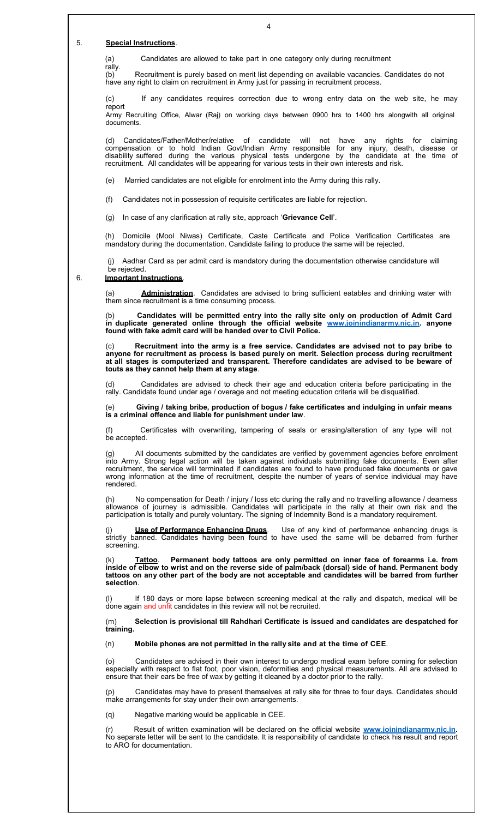#### 5. Special Instructions.

(a) Candidates are allowed to take part in one category only during recruitment

rally. (b) Recruitment is purely based on merit list depending on available vacancies. Candidates do not have any right to claim on recruitment in Army just for passing in recruitment process.

(c) If any candidates requires correction due to wrong entry data on the web site, he may report Army Recruiting Office, Alwar (Raj) on working days between 0900 hrs to 1400 hrs alongwith all original

documents.

(d) Candidates/Father/Mother/relative of candidate will not have any rights for claiming compensation or to hold Indian Govt/Indian Army responsible for any injury, death, disease or disability suffered during the various physical tests undergone by the candidate at the time of recruitment. All candidates will be appearing for various tests in their own interests and risk.

(e) Married candidates are not eligible for enrolment into the Army during this rally.

(f) Candidates not in possession of requisite certificates are liable for rejection.

(g) In case of any clarification at rally site, approach 'Grievance Cell'.

(h) Domicile (Mool Niwas) Certificate, Caste Certificate and Police Verification Certificates are mandatory during the documentation. Candidate failing to produce the same will be rejected.

 (j) Aadhar Card as per admit card is mandatory during the documentation otherwise candidature will be rejected.

#### 6. Important Instructions.

(a) **Administration**. Candidates are advised to bring sufficient eatables and drinking water with them since recruitment is a time consuming process.

(b) Candidates will be permitted entry into the rally site only on production of Admit Card in duplicate generated online through the official website www.joinindianarmy.nic.in. anyone found with fake admit card will be handed over to Civil Police.

Recruitment into the army is a free service. Candidates are advised not to pay bribe to anyone for recruitment as process is based purely on merit. Selection process during recruitment at all stages is computerized and transparent. Therefore candidates are advised to be beware of touts as they cannot help them at any stage.

(d) Candidates are advised to check their age and education criteria before participating in the rally. Candidate found under age / overage and not meeting education criteria will be disqualified.

(e) Giving / taking bribe, production of bogus / fake certificates and indulging in unfair means is a criminal offence and liable for punishment under law.

Certificates with overwriting, tampering of seals or erasing/alteration of any type will not be accepted.

(g) All documents submitted by the candidates are verified by government agencies before enrolment into Army. Strong legal action will be taken against individuals submitting fake documents. Even after recruitment, the service will terminated if candidates are found to have produced fake documents or gave wrong information at the time of recruitment, despite the number of years of service individual may have rendered.

(h) No compensation for Death / injury / loss etc during the rally and no travelling allowance / dearness allowance of journey is admissible. Candidates will participate in the rally at their own risk and the participation is totally and purely voluntary. The signing of Indemnity Bond is a mandatory requirement.

(j) **Use of Performance Enhancing Drugs**. Use of any kind of performance enhancing drugs is strictly banned. Candidates having been found to have used the same will be debarred from further screening.

(k) Tattoo. Permanent body tattoos are only permitted on inner face of forearms i.e. from inside of elbow to wrist and on the reverse side of palm/back (dorsal) side of hand. Permanent body tattoos on any other part of the body are not acceptable and candidates will be barred from further selection.

(l) If 180 days or more lapse between screening medical at the rally and dispatch, medical will be done again and unfit candidates in this review will not be recruited.

(m) Selection is provisional till Rahdhari Certificate is issued and candidates are despatched for training.

(n) Mobile phones are not permitted in the rally site and at the time of CEE.

(o) Candidates are advised in their own interest to undergo medical exam before coming for selection especially with respect to flat foot, poor vision, deformities and physical measurements. All are advised to ensure that their ears be free of wax by getting it cleaned by a doctor prior to the rally.

(p) Candidates may have to present themselves at rally site for three to four days. Candidates should make arrangements for stay under their own arrangements.

(q) Negative marking would be applicable in CEE.

Result of written examination will be declared on the official website www.joinindianarmy.nic.in. No separate letter will be sent to the candidate. It is responsibility of candidate to check his result and report to ARO for documentation.